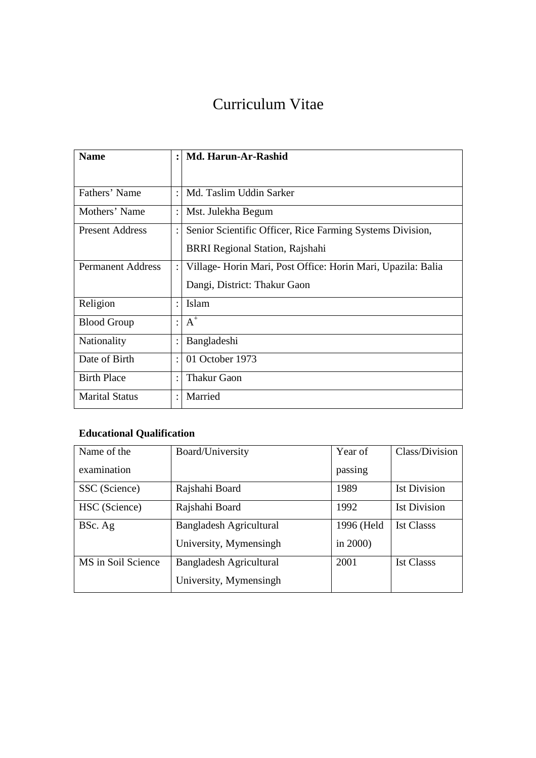# Curriculum Vitae

| <b>Name</b>              | $\ddot{\cdot}$ | <b>Md. Harun-Ar-Rashid</b>                                  |
|--------------------------|----------------|-------------------------------------------------------------|
|                          |                |                                                             |
| Fathers' Name            |                | Md. Taslim Uddin Sarker                                     |
| Mothers' Name            |                | Mst. Julekha Begum                                          |
| <b>Present Address</b>   |                | Senior Scientific Officer, Rice Farming Systems Division,   |
|                          |                | <b>BRRI Regional Station, Rajshahi</b>                      |
| <b>Permanent Address</b> |                | Village-Horin Mari, Post Office: Horin Mari, Upazila: Balia |
|                          |                | Dangi, District: Thakur Gaon                                |
| Religion                 | $\ddot{\cdot}$ | Islam                                                       |
| <b>Blood Group</b>       |                | $A^+$                                                       |
| Nationality              |                | Bangladeshi                                                 |
| Date of Birth            |                | 01 October 1973                                             |
| <b>Birth Place</b>       |                | Thakur Gaon                                                 |
| <b>Marital Status</b>    |                | Married                                                     |

# **Educational Qualification**

| Name of the        | Board/University               | Year of     | Class/Division      |
|--------------------|--------------------------------|-------------|---------------------|
| examination        |                                | passing     |                     |
| SSC (Science)      | Rajshahi Board                 | 1989        | <b>Ist Division</b> |
| HSC (Science)      | Rajshahi Board                 | 1992        | <b>Ist Division</b> |
| BSc. Ag            | <b>Bangladesh Agricultural</b> | 1996 (Held  | <b>Ist Classs</b>   |
|                    | University, Mymensingh         | in $2000$ ) |                     |
| MS in Soil Science | Bangladesh Agricultural        | 2001        | <b>Ist Classs</b>   |
|                    | University, Mymensingh         |             |                     |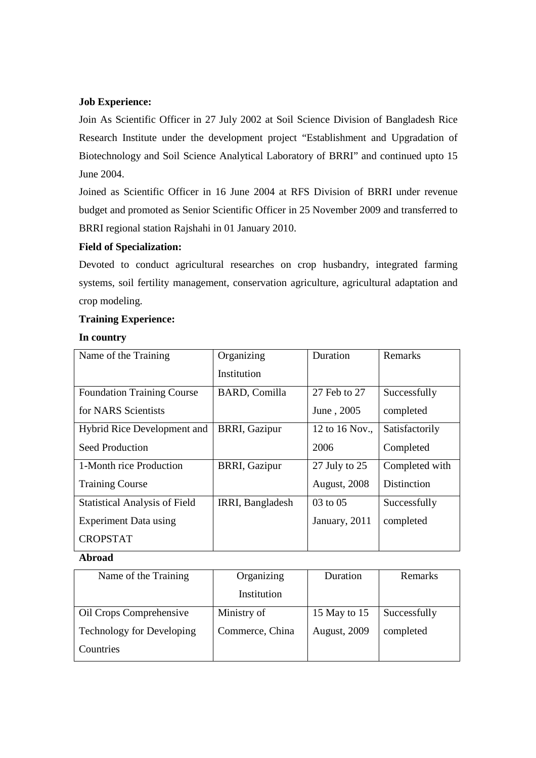## **Job Experience:**

Join As Scientific Officer in 27 July 2002 at Soil Science Division of Bangladesh Rice Research Institute under the development project "Establishment and Upgradation of Biotechnology and Soil Science Analytical Laboratory of BRRI" and continued upto 15 June 2004.

Joined as Scientific Officer in 16 June 2004 at RFS Division of BRRI under revenue budget and promoted as Senior Scientific Officer in 25 November 2009 and transferred to BRRI regional station Rajshahi in 01 January 2010.

## **Field of Specialization:**

Devoted to conduct agricultural researches on crop husbandry, integrated farming systems, soil fertility management, conservation agriculture, agricultural adaptation and crop modeling.

## **Training Experience:**

#### **In country**

| Name of the Training                 | Organizing           | Duration            | Remarks            |
|--------------------------------------|----------------------|---------------------|--------------------|
|                                      | Institution          |                     |                    |
| <b>Foundation Training Course</b>    | <b>BARD, Comilla</b> | 27 Feb to 27        | Successfully       |
| for NARS Scientists                  |                      | June, 2005          | completed          |
| <b>Hybrid Rice Development and</b>   | <b>BRRI, Gazipur</b> | 12 to 16 Nov.,      | Satisfactorily     |
| Seed Production                      |                      | 2006                | Completed          |
| 1-Month rice Production              | <b>BRRI, Gazipur</b> | 27 July to 25       | Completed with     |
| <b>Training Course</b>               |                      | <b>August, 2008</b> | <b>Distinction</b> |
| <b>Statistical Analysis of Field</b> | IRRI, Bangladesh     | 03 to 05            | Successfully       |
| <b>Experiment Data using</b>         |                      | January, 2011       | completed          |
| <b>CROPSTAT</b>                      |                      |                     |                    |

#### **Abroad**

| Name of the Training             | Organizing      | Duration            | Remarks      |
|----------------------------------|-----------------|---------------------|--------------|
|                                  | Institution     |                     |              |
| <b>Oil Crops Comprehensive</b>   | Ministry of     | 15 May to 15        | Successfully |
| <b>Technology for Developing</b> | Commerce, China | <b>August, 2009</b> | completed    |
| Countries                        |                 |                     |              |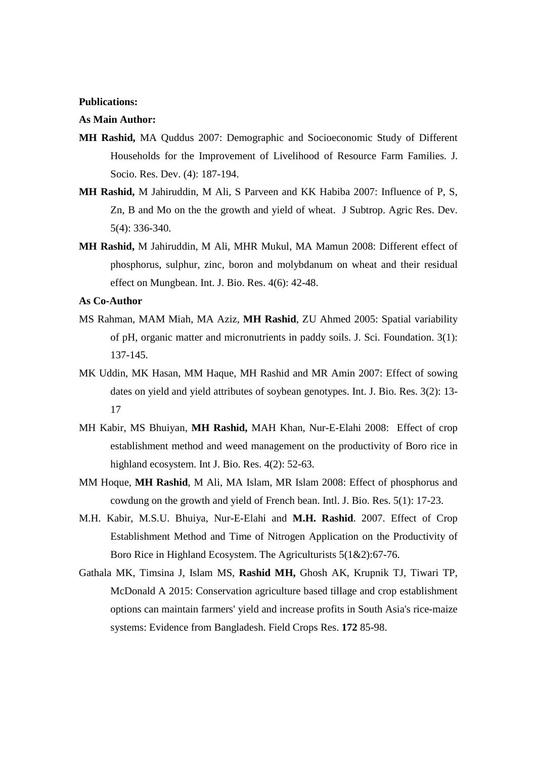#### **Publications:**

#### **As Main Author:**

- **MH Rashid,** MA Quddus 2007: Demographic and Socioeconomic Study of Different Households for the Improvement of Livelihood of Resource Farm Families. J. Socio. Res. Dev. (4): 187-194.
- **MH Rashid,** M Jahiruddin, M Ali, S Parveen and KK Habiba 2007: Influence of P, S, Zn, B and Mo on the the growth and yield of wheat. J Subtrop. Agric Res. Dev. 5(4): 336-340.
- **MH Rashid,** M Jahiruddin, M Ali, MHR Mukul, MA Mamun 2008: Different effect of phosphorus, sulphur, zinc, boron and molybdanum on wheat and their residual effect on Mungbean. Int. J. Bio. Res. 4(6): 42-48.

**As Co-Author** 

- MS Rahman, MAM Miah, MA Aziz, **MH Rashid**, ZU Ahmed 2005: Spatial variability of pH, organic matter and micronutrients in paddy soils. J. Sci. Foundation. 3(1): 137-145.
- MK Uddin, MK Hasan, MM Haque, MH Rashid and MR Amin 2007: Effect of sowing dates on yield and yield attributes of soybean genotypes. Int. J. Bio. Res. 3(2): 13- 17
- MH Kabir, MS Bhuiyan, **MH Rashid,** MAH Khan, Nur-E-Elahi 2008: Effect of crop establishment method and weed management on the productivity of Boro rice in highland ecosystem. Int J. Bio. Res. 4(2): 52-63.
- MM Hoque, **MH Rashid**, M Ali, MA Islam, MR Islam 2008: Effect of phosphorus and cowdung on the growth and yield of French bean. Intl. J. Bio. Res. 5(1): 17-23.
- M.H. Kabir, M.S.U. Bhuiya, Nur-E-Elahi and **M.H. Rashid**. 2007. Effect of Crop Establishment Method and Time of Nitrogen Application on the Productivity of Boro Rice in Highland Ecosystem. The Agriculturists 5(1&2):67-76.
- Gathala MK, Timsina J, Islam MS, **Rashid MH,** Ghosh AK, Krupnik TJ, Tiwari TP, McDonald A 2015: Conservation agriculture based tillage and crop establishment options can maintain farmers' yield and increase profits in South Asia's rice-maize systems: Evidence from Bangladesh. Field Crops Res. **172** 85-98.